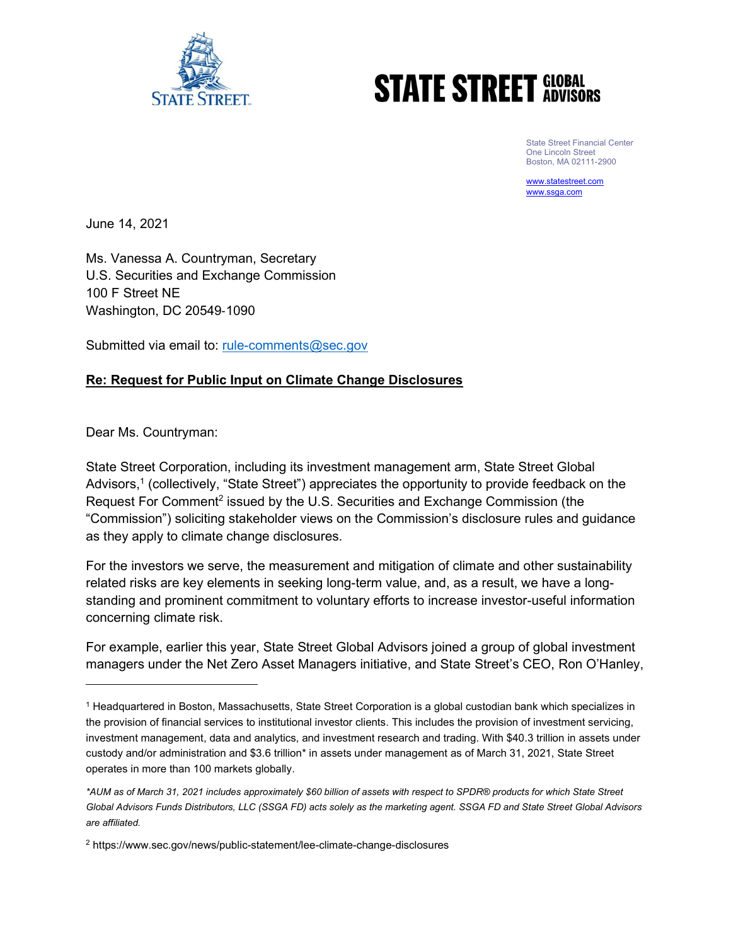

# **STATE STREET GLOBAL**

State Street Financial Center One Lincoln Street Boston, MA 02111-2900

www.statestreet.com www.ssga.com

June 14, 2021

Ms. Vanessa A. Countryman, Secretary U.S. Securities and Exchange Commission 100 F Street NE Washington, DC 20549‐1090

Submitted via email to: rule-comments@sec.gov

## Re: Request for Public Input on Climate Change Disclosures

Dear Ms. Countryman:

State Street Corporation, including its investment management arm, State Street Global Advisors,<sup>1</sup> (collectively, "State Street") appreciates the opportunity to provide feedback on the Request For Comment<sup>2</sup> issued by the U.S. Securities and Exchange Commission (the "Commission") soliciting stakeholder views on the Commission's disclosure rules and guidance as they apply to climate change disclosures.

For the investors we serve, the measurement and mitigation of climate and other sustainability related risks are key elements in seeking long-term value, and, as a result, we have a longstanding and prominent commitment to voluntary efforts to increase investor-useful information concerning climate risk.

For example, earlier this year, State Street Global Advisors joined a group of global investment managers under the Net Zero Asset Managers initiative, and State Street's CEO, Ron O'Hanley,

<sup>&</sup>lt;sup>1</sup> Headquartered in Boston, Massachusetts, State Street Corporation is a global custodian bank which specializes in the provision of financial services to institutional investor clients. This includes the provision of investment servicing, investment management, data and analytics, and investment research and trading. With \$40.3 trillion in assets under custody and/or administration and \$3.6 trillion\* in assets under management as of March 31, 2021, State Street operates in more than 100 markets globally.

<sup>\*</sup>AUM as of March 31, 2021 includes approximately \$60 billion of assets with respect to SPDR® products for which State Street Global Advisors Funds Distributors, LLC (SSGA FD) acts solely as the marketing agent. SSGA FD and State Street Global Advisors are affiliated.

<sup>2</sup> https://www.sec.gov/news/public-statement/lee-climate-change-disclosures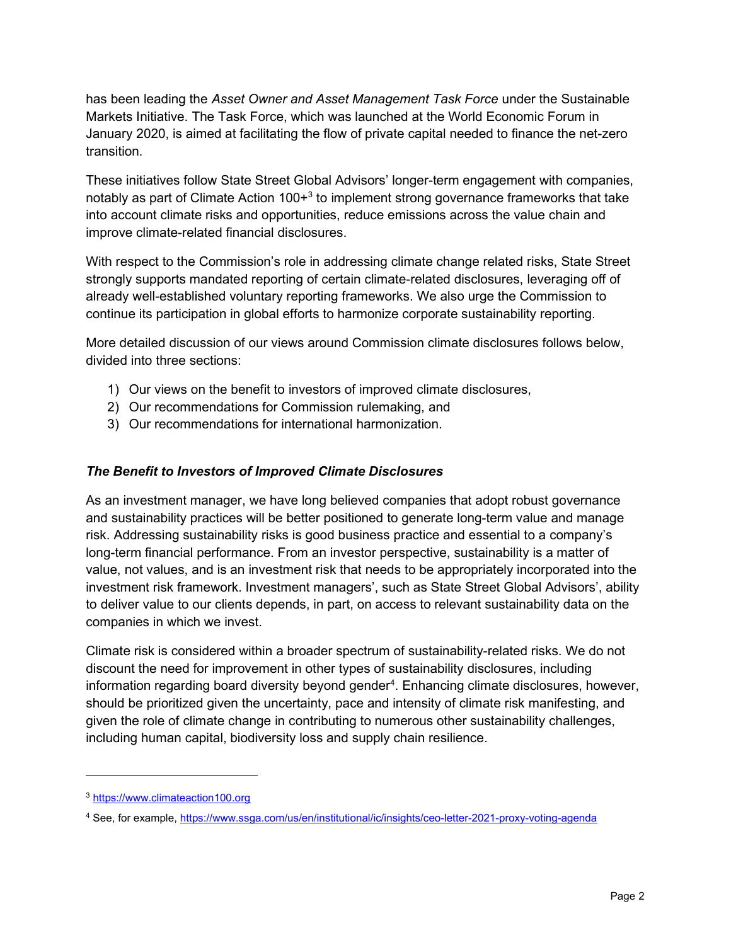has been leading the Asset Owner and Asset Management Task Force under the Sustainable Markets Initiative. The Task Force, which was launched at the World Economic Forum in January 2020, is aimed at facilitating the flow of private capital needed to finance the net-zero transition.

These initiatives follow State Street Global Advisors' longer-term engagement with companies, notably as part of Climate Action 100+ $^3$  to implement strong governance frameworks that take into account climate risks and opportunities, reduce emissions across the value chain and improve climate-related financial disclosures.

With respect to the Commission's role in addressing climate change related risks, State Street strongly supports mandated reporting of certain climate-related disclosures, leveraging off of already well-established voluntary reporting frameworks. We also urge the Commission to continue its participation in global efforts to harmonize corporate sustainability reporting.

More detailed discussion of our views around Commission climate disclosures follows below, divided into three sections:

- 1) Our views on the benefit to investors of improved climate disclosures,
- 2) Our recommendations for Commission rulemaking, and
- 3) Our recommendations for international harmonization.

### The Benefit to Investors of Improved Climate Disclosures

As an investment manager, we have long believed companies that adopt robust governance and sustainability practices will be better positioned to generate long-term value and manage risk. Addressing sustainability risks is good business practice and essential to a company's long-term financial performance. From an investor perspective, sustainability is a matter of value, not values, and is an investment risk that needs to be appropriately incorporated into the investment risk framework. Investment managers', such as State Street Global Advisors', ability to deliver value to our clients depends, in part, on access to relevant sustainability data on the companies in which we invest.

Climate risk is considered within a broader spectrum of sustainability-related risks. We do not discount the need for improvement in other types of sustainability disclosures, including information regarding board diversity beyond gender<sup>4</sup>. Enhancing climate disclosures, however, should be prioritized given the uncertainty, pace and intensity of climate risk manifesting, and given the role of climate change in contributing to numerous other sustainability challenges, including human capital, biodiversity loss and supply chain resilience.

<sup>3</sup> https://www.climateaction100.org

<sup>&</sup>lt;sup>4</sup> See, for example, https://www.ssga.com/us/en/institutional/ic/insights/ceo-letter-2021-proxy-voting-agenda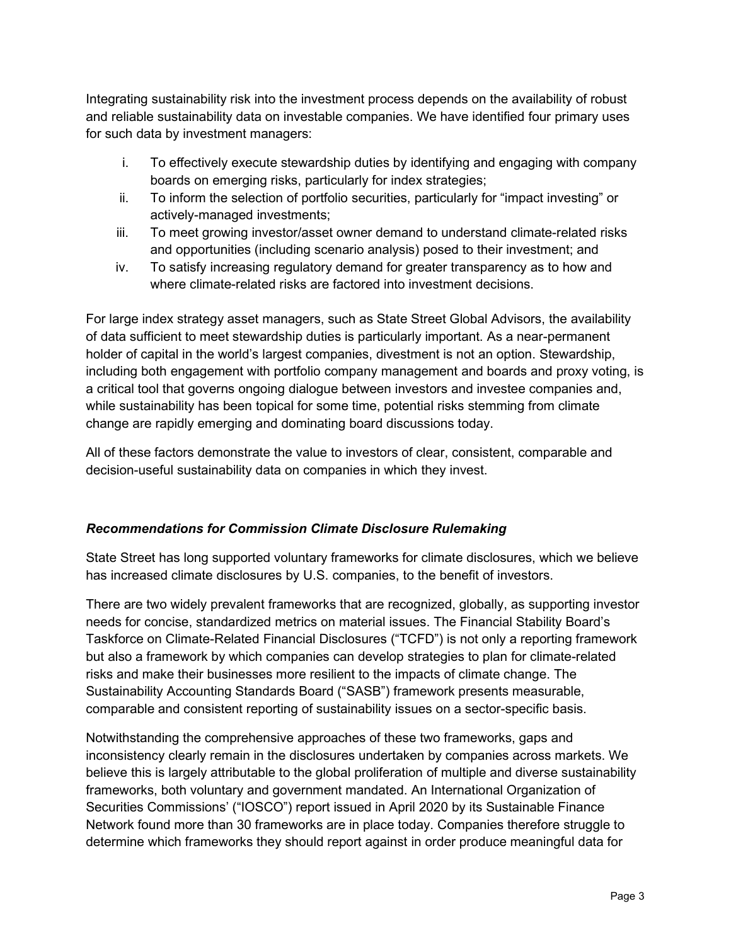Integrating sustainability risk into the investment process depends on the availability of robust and reliable sustainability data on investable companies. We have identified four primary uses for such data by investment managers:

- i. To effectively execute stewardship duties by identifying and engaging with company boards on emerging risks, particularly for index strategies;
- ii. To inform the selection of portfolio securities, particularly for "impact investing" or actively-managed investments;
- iii. To meet growing investor/asset owner demand to understand climate-related risks and opportunities (including scenario analysis) posed to their investment; and
- iv. To satisfy increasing regulatory demand for greater transparency as to how and where climate-related risks are factored into investment decisions.

For large index strategy asset managers, such as State Street Global Advisors, the availability of data sufficient to meet stewardship duties is particularly important. As a near-permanent holder of capital in the world's largest companies, divestment is not an option. Stewardship, including both engagement with portfolio company management and boards and proxy voting, is a critical tool that governs ongoing dialogue between investors and investee companies and, while sustainability has been topical for some time, potential risks stemming from climate change are rapidly emerging and dominating board discussions today.

All of these factors demonstrate the value to investors of clear, consistent, comparable and decision-useful sustainability data on companies in which they invest.

# Recommendations for Commission Climate Disclosure Rulemaking

State Street has long supported voluntary frameworks for climate disclosures, which we believe has increased climate disclosures by U.S. companies, to the benefit of investors.

There are two widely prevalent frameworks that are recognized, globally, as supporting investor needs for concise, standardized metrics on material issues. The Financial Stability Board's Taskforce on Climate-Related Financial Disclosures ("TCFD") is not only a reporting framework but also a framework by which companies can develop strategies to plan for climate-related risks and make their businesses more resilient to the impacts of climate change. The Sustainability Accounting Standards Board ("SASB") framework presents measurable, comparable and consistent reporting of sustainability issues on a sector-specific basis.

Notwithstanding the comprehensive approaches of these two frameworks, gaps and inconsistency clearly remain in the disclosures undertaken by companies across markets. We believe this is largely attributable to the global proliferation of multiple and diverse sustainability frameworks, both voluntary and government mandated. An International Organization of Securities Commissions' ("IOSCO") report issued in April 2020 by its Sustainable Finance Network found more than 30 frameworks are in place today. Companies therefore struggle to determine which frameworks they should report against in order produce meaningful data for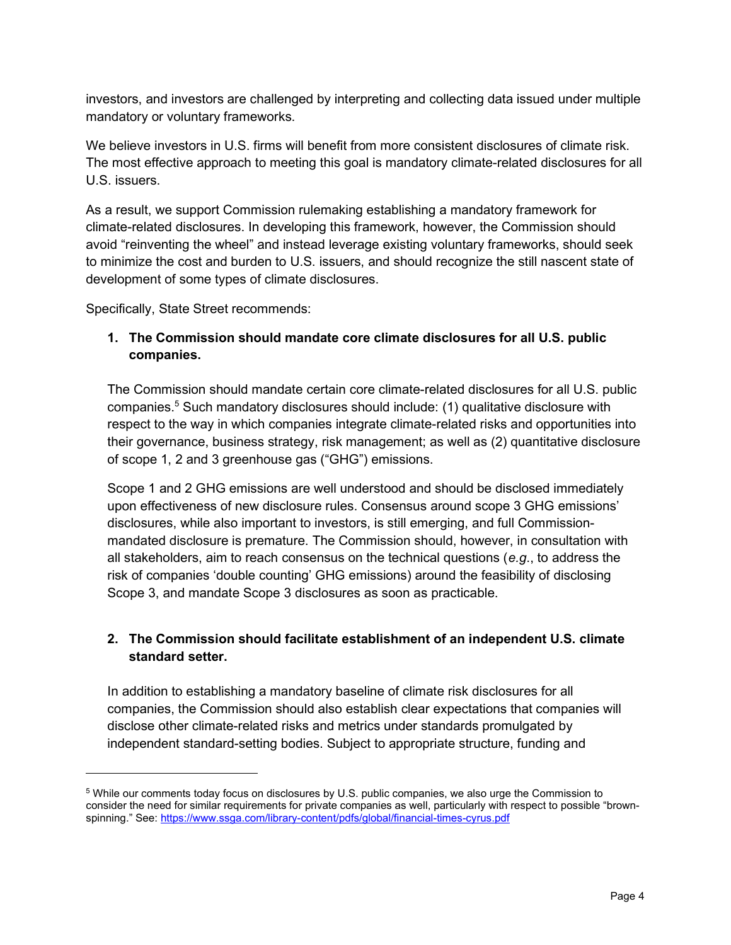investors, and investors are challenged by interpreting and collecting data issued under multiple mandatory or voluntary frameworks.

We believe investors in U.S. firms will benefit from more consistent disclosures of climate risk. The most effective approach to meeting this goal is mandatory climate-related disclosures for all U.S. issuers.

As a result, we support Commission rulemaking establishing a mandatory framework for climate-related disclosures. In developing this framework, however, the Commission should avoid "reinventing the wheel" and instead leverage existing voluntary frameworks, should seek to minimize the cost and burden to U.S. issuers, and should recognize the still nascent state of development of some types of climate disclosures.

Specifically, State Street recommends:

# 1. The Commission should mandate core climate disclosures for all U.S. public companies.

The Commission should mandate certain core climate-related disclosures for all U.S. public companies.<sup>5</sup> Such mandatory disclosures should include: (1) qualitative disclosure with respect to the way in which companies integrate climate-related risks and opportunities into their governance, business strategy, risk management; as well as (2) quantitative disclosure of scope 1, 2 and 3 greenhouse gas ("GHG") emissions.

Scope 1 and 2 GHG emissions are well understood and should be disclosed immediately upon effectiveness of new disclosure rules. Consensus around scope 3 GHG emissions' disclosures, while also important to investors, is still emerging, and full Commissionmandated disclosure is premature. The Commission should, however, in consultation with all stakeholders, aim to reach consensus on the technical questions (e.g., to address the risk of companies 'double counting' GHG emissions) around the feasibility of disclosing Scope 3, and mandate Scope 3 disclosures as soon as practicable.

# 2. The Commission should facilitate establishment of an independent U.S. climate standard setter.

In addition to establishing a mandatory baseline of climate risk disclosures for all companies, the Commission should also establish clear expectations that companies will disclose other climate-related risks and metrics under standards promulgated by independent standard-setting bodies. Subject to appropriate structure, funding and

 $^5$  While our comments today focus on disclosures by U.S. public companies, we also urge the Commission to consider the need for similar requirements for private companies as well, particularly with respect to possible "brownspinning." See: https://www.ssga.com/library-content/pdfs/global/financial-times-cyrus.pdf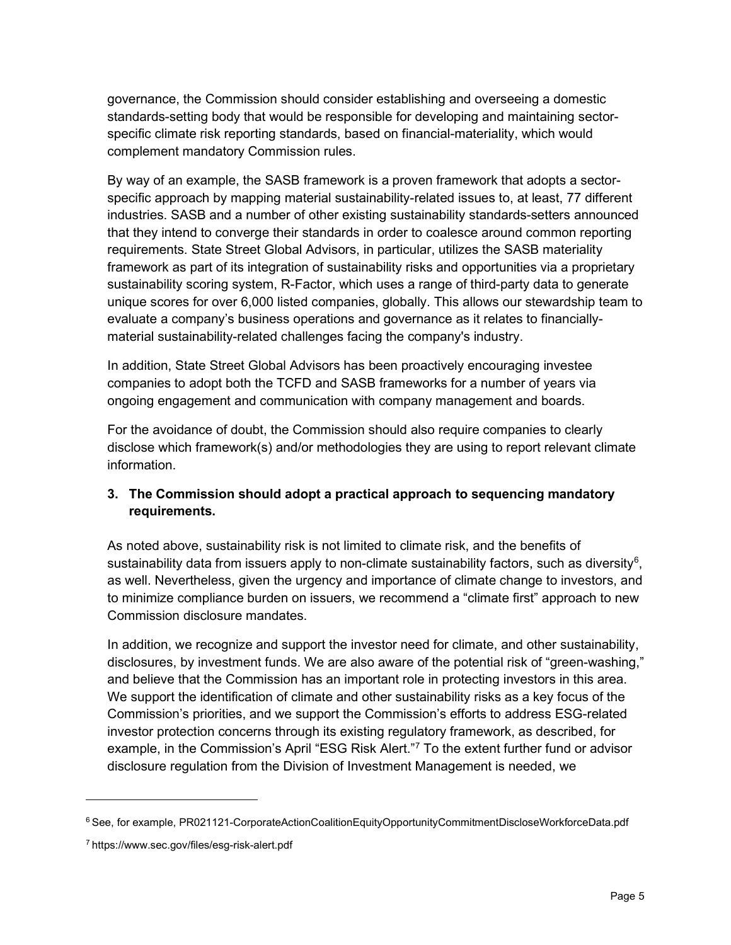governance, the Commission should consider establishing and overseeing a domestic standards-setting body that would be responsible for developing and maintaining sectorspecific climate risk reporting standards, based on financial-materiality, which would complement mandatory Commission rules.

By way of an example, the SASB framework is a proven framework that adopts a sectorspecific approach by mapping material sustainability-related issues to, at least, 77 different industries. SASB and a number of other existing sustainability standards-setters announced that they intend to converge their standards in order to coalesce around common reporting requirements. State Street Global Advisors, in particular, utilizes the SASB materiality framework as part of its integration of sustainability risks and opportunities via a proprietary sustainability scoring system, R-Factor, which uses a range of third-party data to generate unique scores for over 6,000 listed companies, globally. This allows our stewardship team to evaluate a company's business operations and governance as it relates to financiallymaterial sustainability-related challenges facing the company's industry.

In addition, State Street Global Advisors has been proactively encouraging investee companies to adopt both the TCFD and SASB frameworks for a number of years via ongoing engagement and communication with company management and boards.

For the avoidance of doubt, the Commission should also require companies to clearly disclose which framework(s) and/or methodologies they are using to report relevant climate information.

# 3. The Commission should adopt a practical approach to sequencing mandatory requirements.

As noted above, sustainability risk is not limited to climate risk, and the benefits of sustainability data from issuers apply to non-climate sustainability factors, such as diversity<sup>6</sup>, as well. Nevertheless, given the urgency and importance of climate change to investors, and to minimize compliance burden on issuers, we recommend a "climate first" approach to new Commission disclosure mandates.

In addition, we recognize and support the investor need for climate, and other sustainability, disclosures, by investment funds. We are also aware of the potential risk of "green-washing," and believe that the Commission has an important role in protecting investors in this area. We support the identification of climate and other sustainability risks as a key focus of the Commission's priorities, and we support the Commission's efforts to address ESG-related investor protection concerns through its existing regulatory framework, as described, for example, in the Commission's April "ESG Risk Alert."<sup>7</sup> To the extent further fund or advisor disclosure regulation from the Division of Investment Management is needed, we

<sup>&</sup>lt;sup>6</sup> See, for example, PR021121-CorporateActionCoalitionEquityOpportunityCommitmentDiscloseWorkforceData.pdf

<sup>7</sup> https://www.sec.gov/files/esg-risk-alert.pdf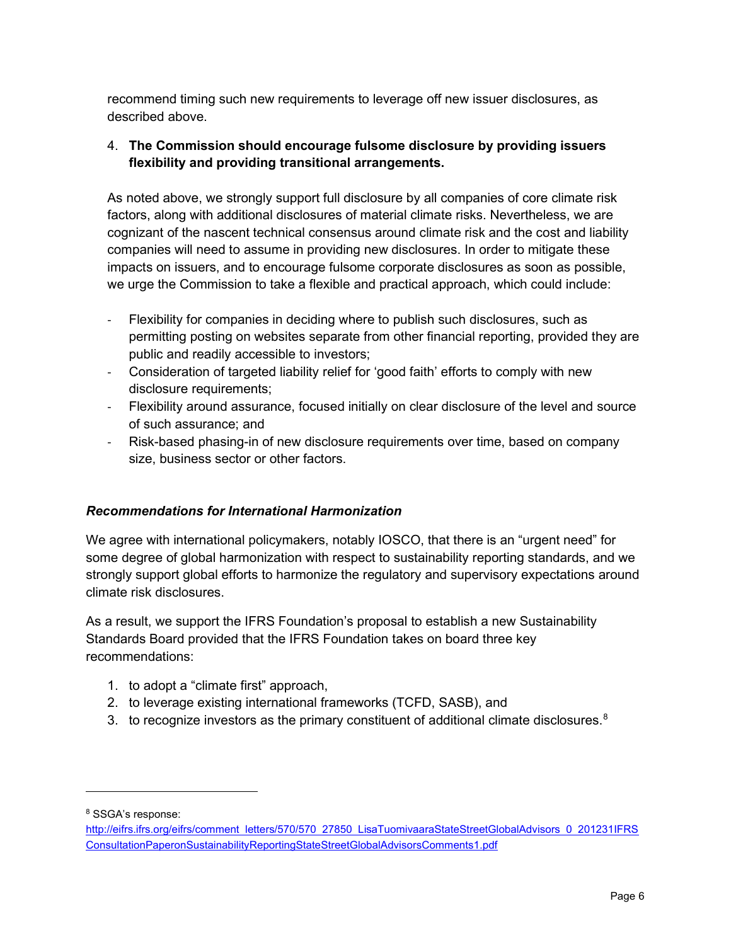recommend timing such new requirements to leverage off new issuer disclosures, as described above.

# 4. The Commission should encourage fulsome disclosure by providing issuers flexibility and providing transitional arrangements.

As noted above, we strongly support full disclosure by all companies of core climate risk factors, along with additional disclosures of material climate risks. Nevertheless, we are cognizant of the nascent technical consensus around climate risk and the cost and liability companies will need to assume in providing new disclosures. In order to mitigate these impacts on issuers, and to encourage fulsome corporate disclosures as soon as possible, we urge the Commission to take a flexible and practical approach, which could include:

- Flexibility for companies in deciding where to publish such disclosures, such as permitting posting on websites separate from other financial reporting, provided they are public and readily accessible to investors;
- Consideration of targeted liability relief for 'good faith' efforts to comply with new disclosure requirements;
- Flexibility around assurance, focused initially on clear disclosure of the level and source of such assurance; and
- Risk-based phasing-in of new disclosure requirements over time, based on company size, business sector or other factors.

# Recommendations for International Harmonization

We agree with international policymakers, notably IOSCO, that there is an "urgent need" for some degree of global harmonization with respect to sustainability reporting standards, and we strongly support global efforts to harmonize the regulatory and supervisory expectations around climate risk disclosures.

As a result, we support the IFRS Foundation's proposal to establish a new Sustainability Standards Board provided that the IFRS Foundation takes on board three key recommendations:

- 1. to adopt a "climate first" approach,
- 2. to leverage existing international frameworks (TCFD, SASB), and
- 3. to recognize investors as the primary constituent of additional climate disclosures. $8$

8 SSGA's response:

http://eifrs.ifrs.org/eifrs/comment letters/570/570 27850 LisaTuomivaaraStateStreetGlobalAdvisors 0 201231IFRS ConsultationPaperonSustainabilityReportingStateStreetGlobalAdvisorsComments1.pdf